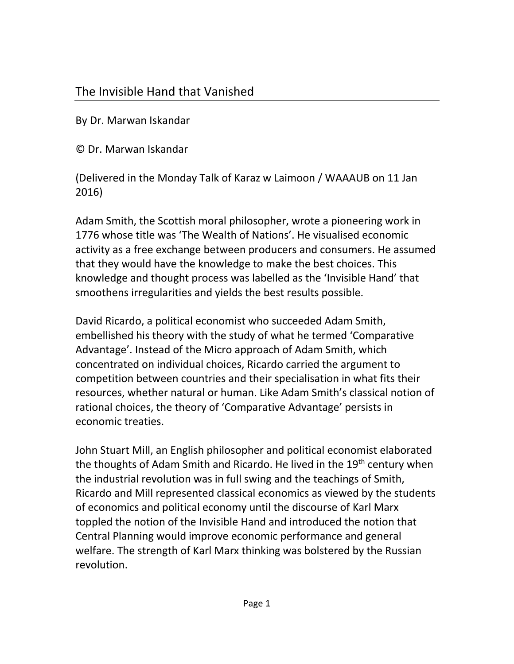## The Invisible Hand that Vanished

By Dr. Marwan Iskandar

© Dr. Marwan Iskandar

(Delivered in the Monday Talk of Karaz w Laimoon / WAAAUB on 11 Jan 2016)

Adam Smith, the Scottish moral philosopher, wrote a pioneering work in 1776 whose title was 'The Wealth of Nations'. He visualised economic activity as a free exchange between producers and consumers. He assumed that they would have the knowledge to make the best choices. This knowledge and thought process was labelled as the 'Invisible Hand' that smoothens irregularities and yields the best results possible.

David Ricardo, a political economist who succeeded Adam Smith, embellished his theory with the study of what he termed 'Comparative Advantage'. Instead of the Micro approach of Adam Smith, which concentrated on individual choices, Ricardo carried the argument to competition between countries and their specialisation in what fits their resources, whether natural or human. Like Adam Smith's classical notion of rational choices, the theory of 'Comparative Advantage' persists in economic treaties.

John Stuart Mill, an English philosopher and political economist elaborated the thoughts of Adam Smith and Ricardo. He lived in the 19<sup>th</sup> century when the industrial revolution was in full swing and the teachings of Smith, Ricardo and Mill represented classical economics as viewed by the students of economics and political economy until the discourse of Karl Marx toppled the notion of the Invisible Hand and introduced the notion that Central Planning would improve economic performance and general welfare. The strength of Karl Marx thinking was bolstered by the Russian revolution.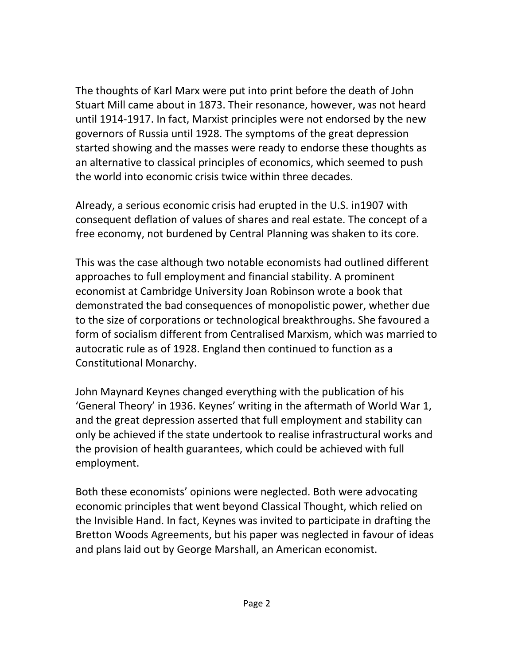The thoughts of Karl Marx were put into print before the death of John Stuart Mill came about in 1873. Their resonance, however, was not heard until 1914-1917. In fact, Marxist principles were not endorsed by the new governors of Russia until 1928. The symptoms of the great depression started showing and the masses were ready to endorse these thoughts as an alternative to classical principles of economics, which seemed to push the world into economic crisis twice within three decades.

Already, a serious economic crisis had erupted in the U.S. in1907 with consequent deflation of values of shares and real estate. The concept of a free economy, not burdened by Central Planning was shaken to its core.

This was the case although two notable economists had outlined different approaches to full employment and financial stability. A prominent economist at Cambridge University Joan Robinson wrote a book that demonstrated the bad consequences of monopolistic power, whether due to the size of corporations or technological breakthroughs. She favoured a form of socialism different from Centralised Marxism, which was married to autocratic rule as of 1928. England then continued to function as a Constitutional Monarchy.

John Maynard Keynes changed everything with the publication of his 'General Theory' in 1936. Keynes' writing in the aftermath of World War 1, and the great depression asserted that full employment and stability can only be achieved if the state undertook to realise infrastructural works and the provision of health guarantees, which could be achieved with full employment.

Both these economists' opinions were neglected. Both were advocating economic principles that went beyond Classical Thought, which relied on the Invisible Hand. In fact, Keynes was invited to participate in drafting the Bretton Woods Agreements, but his paper was neglected in favour of ideas and plans laid out by George Marshall, an American economist.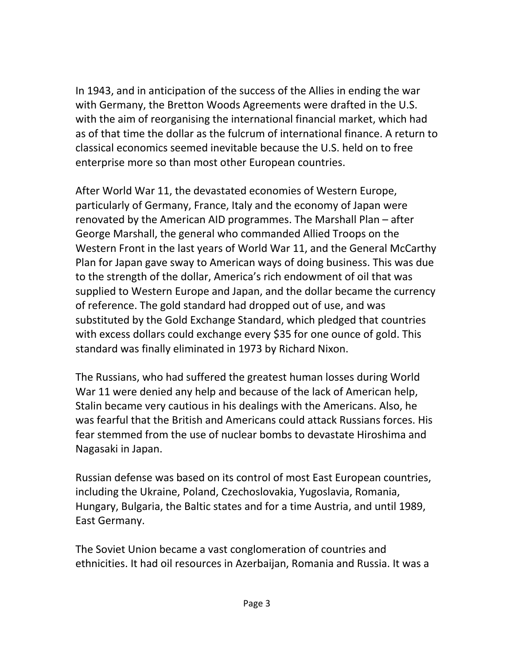In 1943, and in anticipation of the success of the Allies in ending the war with Germany, the Bretton Woods Agreements were drafted in the U.S. with the aim of reorganising the international financial market, which had as of that time the dollar as the fulcrum of international finance. A return to classical economics seemed inevitable because the U.S. held on to free enterprise more so than most other European countries.

After World War 11, the devastated economies of Western Europe, particularly of Germany, France, Italy and the economy of Japan were renovated by the American AID programmes. The Marshall Plan – after George Marshall, the general who commanded Allied Troops on the Western Front in the last years of World War 11, and the General McCarthy Plan for Japan gave sway to American ways of doing business. This was due to the strength of the dollar, America's rich endowment of oil that was supplied to Western Europe and Japan, and the dollar became the currency of reference. The gold standard had dropped out of use, and was substituted by the Gold Exchange Standard, which pledged that countries with excess dollars could exchange every \$35 for one ounce of gold. This standard was finally eliminated in 1973 by Richard Nixon.

The Russians, who had suffered the greatest human losses during World War 11 were denied any help and because of the lack of American help, Stalin became very cautious in his dealings with the Americans. Also, he was fearful that the British and Americans could attack Russians forces. His fear stemmed from the use of nuclear bombs to devastate Hiroshima and Nagasaki in Japan.

Russian defense was based on its control of most East European countries, including the Ukraine, Poland, Czechoslovakia, Yugoslavia, Romania, Hungary, Bulgaria, the Baltic states and for a time Austria, and until 1989, East Germany.

The Soviet Union became a vast conglomeration of countries and ethnicities. It had oil resources in Azerbaijan, Romania and Russia. It was a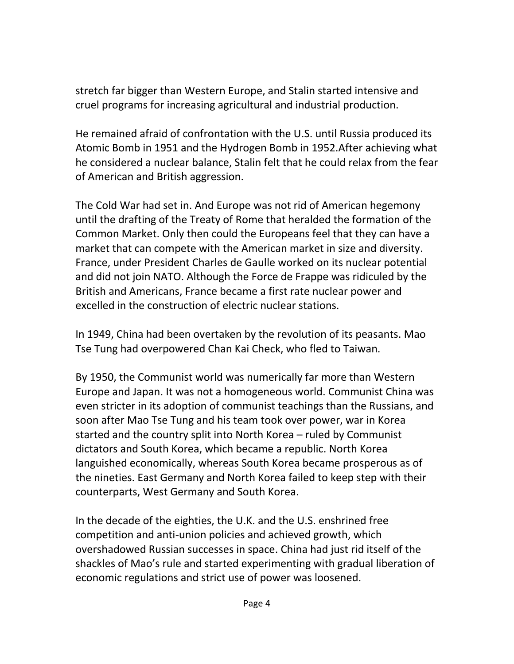stretch far bigger than Western Europe, and Stalin started intensive and cruel programs for increasing agricultural and industrial production.

He remained afraid of confrontation with the U.S. until Russia produced its Atomic Bomb in 1951 and the Hydrogen Bomb in 1952.After achieving what he considered a nuclear balance, Stalin felt that he could relax from the fear of American and British aggression.

The Cold War had set in. And Europe was not rid of American hegemony until the drafting of the Treaty of Rome that heralded the formation of the Common Market. Only then could the Europeans feel that they can have a market that can compete with the American market in size and diversity. France, under President Charles de Gaulle worked on its nuclear potential and did not join NATO. Although the Force de Frappe was ridiculed by the British and Americans, France became a first rate nuclear power and excelled in the construction of electric nuclear stations.

In 1949, China had been overtaken by the revolution of its peasants. Mao Tse Tung had overpowered Chan Kai Check, who fled to Taiwan.

By 1950, the Communist world was numerically far more than Western Europe and Japan. It was not a homogeneous world. Communist China was even stricter in its adoption of communist teachings than the Russians, and soon after Mao Tse Tung and his team took over power, war in Korea started and the country split into North Korea – ruled by Communist dictators and South Korea, which became a republic. North Korea languished economically, whereas South Korea became prosperous as of the nineties. East Germany and North Korea failed to keep step with their counterparts, West Germany and South Korea.

In the decade of the eighties, the U.K. and the U.S. enshrined free competition and anti-union policies and achieved growth, which overshadowed Russian successes in space. China had just rid itself of the shackles of Mao's rule and started experimenting with gradual liberation of economic regulations and strict use of power was loosened.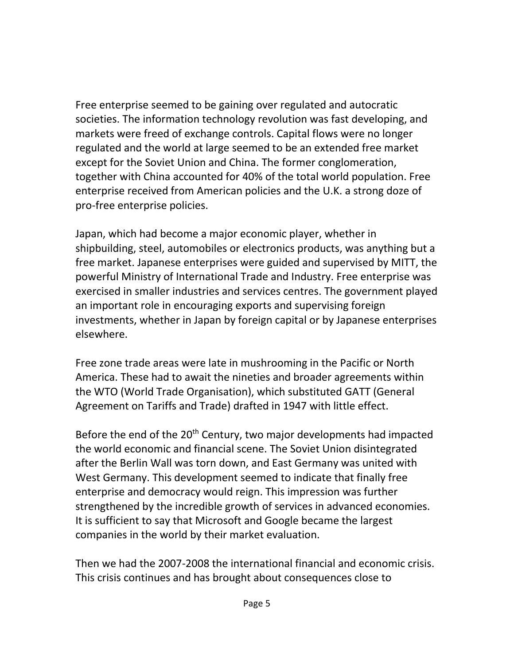Free enterprise seemed to be gaining over regulated and autocratic societies. The information technology revolution was fast developing, and markets were freed of exchange controls. Capital flows were no longer regulated and the world at large seemed to be an extended free market except for the Soviet Union and China. The former conglomeration, together with China accounted for 40% of the total world population. Free enterprise received from American policies and the U.K. a strong doze of pro-free enterprise policies.

Japan, which had become a major economic player, whether in shipbuilding, steel, automobiles or electronics products, was anything but a free market. Japanese enterprises were guided and supervised by MITT, the powerful Ministry of International Trade and Industry. Free enterprise was exercised in smaller industries and services centres. The government played an important role in encouraging exports and supervising foreign investments, whether in Japan by foreign capital or by Japanese enterprises elsewhere.

Free zone trade areas were late in mushrooming in the Pacific or North America. These had to await the nineties and broader agreements within the WTO (World Trade Organisation), which substituted GATT (General Agreement on Tariffs and Trade) drafted in 1947 with little effect.

Before the end of the 20<sup>th</sup> Century, two major developments had impacted the world economic and financial scene. The Soviet Union disintegrated after the Berlin Wall was torn down, and East Germany was united with West Germany. This development seemed to indicate that finally free enterprise and democracy would reign. This impression was further strengthened by the incredible growth of services in advanced economies. It is sufficient to say that Microsoft and Google became the largest companies in the world by their market evaluation.

Then we had the 2007-2008 the international financial and economic crisis. This crisis continues and has brought about consequences close to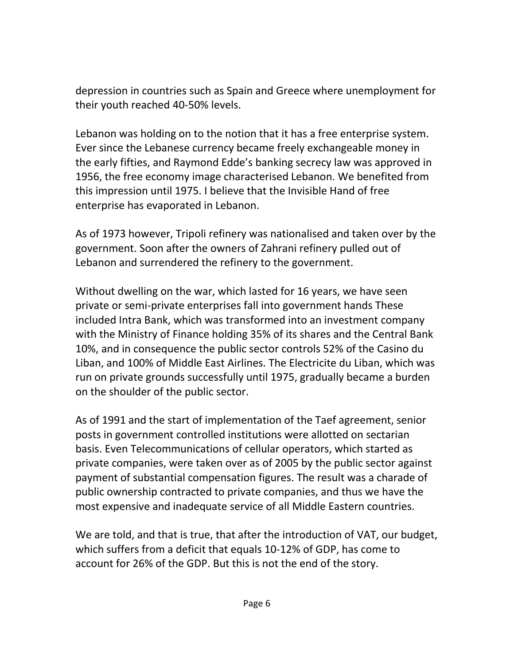depression in countries such as Spain and Greece where unemployment for their youth reached 40-50% levels.

Lebanon was holding on to the notion that it has a free enterprise system. Ever since the Lebanese currency became freely exchangeable money in the early fifties, and Raymond Edde's banking secrecy law was approved in 1956, the free economy image characterised Lebanon. We benefited from this impression until 1975. I believe that the Invisible Hand of free enterprise has evaporated in Lebanon.

As of 1973 however, Tripoli refinery was nationalised and taken over by the government. Soon after the owners of Zahrani refinery pulled out of Lebanon and surrendered the refinery to the government.

Without dwelling on the war, which lasted for 16 years, we have seen private or semi-private enterprises fall into government hands These included Intra Bank, which was transformed into an investment company with the Ministry of Finance holding 35% of its shares and the Central Bank 10%, and in consequence the public sector controls 52% of the Casino du Liban, and 100% of Middle East Airlines. The Electricite du Liban, which was run on private grounds successfully until 1975, gradually became a burden on the shoulder of the public sector.

As of 1991 and the start of implementation of the Taef agreement, senior posts in government controlled institutions were allotted on sectarian basis. Even Telecommunications of cellular operators, which started as private companies, were taken over as of 2005 by the public sector against payment of substantial compensation figures. The result was a charade of public ownership contracted to private companies, and thus we have the most expensive and inadequate service of all Middle Eastern countries.

We are told, and that is true, that after the introduction of VAT, our budget, which suffers from a deficit that equals 10-12% of GDP, has come to account for 26% of the GDP. But this is not the end of the story.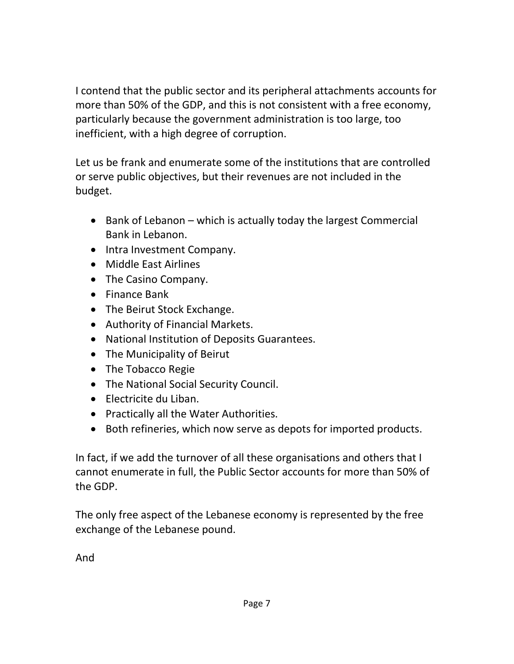I contend that the public sector and its peripheral attachments accounts for more than 50% of the GDP, and this is not consistent with a free economy, particularly because the government administration is too large, too inefficient, with a high degree of corruption.

Let us be frank and enumerate some of the institutions that are controlled or serve public objectives, but their revenues are not included in the budget.

- $\bullet$  Bank of Lebanon which is actually today the largest Commercial Bank in Lebanon.
- Intra Investment Company.
- Middle East Airlines
- The Casino Company.
- Finance Bank
- The Beirut Stock Exchange.
- Authority of Financial Markets.
- National Institution of Deposits Guarantees.
- The Municipality of Beirut
- The Tobacco Regie
- The National Social Security Council.
- Electricite du Liban.
- Practically all the Water Authorities.
- Both refineries, which now serve as depots for imported products.

In fact, if we add the turnover of all these organisations and others that I cannot enumerate in full, the Public Sector accounts for more than 50% of the GDP.

The only free aspect of the Lebanese economy is represented by the free exchange of the Lebanese pound.

And